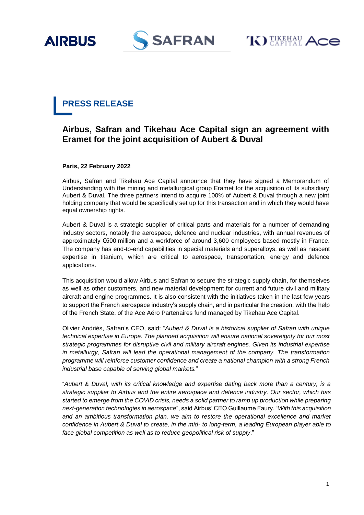





# **PRESS RELEASE**

## **Airbus, Safran and Tikehau Ace Capital sign an agreement with Eramet for the joint acquisition of Aubert & Duval**

**Paris, 22 February 2022**

Airbus, Safran and Tikehau Ace Capital announce that they have signed a Memorandum of Understanding with the mining and metallurgical group Eramet for the acquisition of its subsidiary Aubert & Duval. The three partners intend to acquire 100% of Aubert & Duval through a new joint holding company that would be specifically set up for this transaction and in which they would have equal ownership rights.

Aubert & Duval is a strategic supplier of critical parts and materials for a number of demanding industry sectors, notably the aerospace, defence and nuclear industries, with annual revenues of approximately €500 million and a workforce of around 3,600 employees based mostly in France. The company has end-to-end capabilities in special materials and superalloys, as well as nascent expertise in titanium, which are critical to aerospace, transportation, energy and defence applications.

This acquisition would allow Airbus and Safran to secure the strategic supply chain, for themselves as well as other customers, and new material development for current and future civil and military aircraft and engine programmes. It is also consistent with the initiatives taken in the last few years to support the French aerospace industry's supply chain, and in particular the creation, with the help of the French State, of the Ace Aéro Partenaires fund managed by Tikehau Ace Capital.

Olivier Andriès, Safran's CEO, said: "*Aubert & Duval is a historical supplier of Safran with unique technical expertise in Europe. The planned acquisition will ensure national sovereignty for our most strategic programmes for disruptive civil and military aircraft engines. Given its industrial expertise in metallurgy, Safran will lead the operational management of the company. The transformation programme will reinforce customer confidence and create a national champion with a strong French industrial base capable of serving global markets.*"

"*Aubert & Duval, with its critical knowledge and expertise dating back more than a century, is a strategic supplier to Airbus and the entire aerospace and defence industry. Our sector, which has started to emerge from the COVID crisis, needs a solid partner to ramp up production while preparing next-generation technologies in aerospace*", said Airbus' CEO Guillaume Faury. "*With this acquisition and an ambitious transformation plan, we aim to restore the operational excellence and market confidence in Aubert & Duval to create, in the mid- to long-term, a leading European player able to face global competition as well as to reduce geopolitical risk of supply*."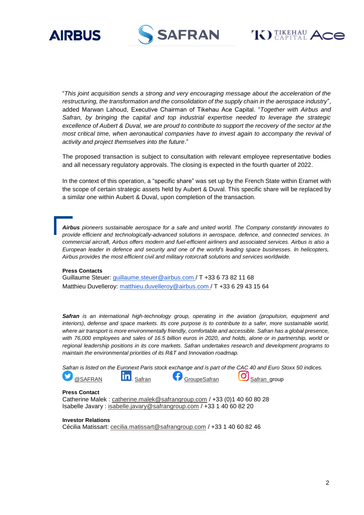





"*This joint acquisition sends a strong and very encouraging message about the acceleration of the restructuring, the transformation and the consolidation of the supply chain in the aerospace industry*", added Marwan Lahoud, Executive Chairman of Tikehau Ace Capital. "*Together with Airbus and*  Safran, by bringing the capital and top industrial expertise needed to leverage the strategic *excellence of Aubert & Duval, we are proud to contribute to support the recovery of the sector at the most critical time, when aeronautical companies have to invest again to accompany the revival of activity and project themselves into the future*."

The proposed transaction is subject to consultation with relevant employee representative bodies and all necessary regulatory approvals. The closing is expected in the fourth quarter of 2022.

In the context of this operation, a "specific share" was set up by the French State within Eramet with the scope of certain strategic assets held by Aubert & Duval. This specific share will be replaced by a similar one within Aubert & Duval, upon completion of the transaction.

*Airbus pioneers sustainable aerospace for a safe and united world. The Company constantly innovates to provide efficient and technologically-advanced solutions in aerospace, defence, and connected services. In commercial aircraft, Airbus offers modern and fuel-efficient airliners and associated services. Airbus is also a European leader in defence and security and one of the world's leading space businesses. In helicopters, Airbus provides the most efficient civil and military rotorcraft solutions and services worldwide.*

#### **Press Contacts**

Guillaume Steuer: [guillaume.steuer@airbus.com](mailto:guillaume.steuer@airbus.com) / T +33 6 73 82 11 68 Matthieu Duvelleroy: [matthieu.duvelleroy@airbus.com](mailto:matthieu.duvelleroy@airbus.com) / T +33 6 29 43 15 64

*Safran is an international high-technology group, operating in the aviation (propulsion, equipment and interiors), defense and space markets. Its core purpose is to contribute to a safer, more sustainable world,*  where air transport is more environmentally friendly, comfortable and accessible. Safran has a global presence, *with 76,000 employees and sales of 16.5 billion euros in 2020, and holds, alone or in partnership, world or regional leadership positions in its core markets. Safran undertakes research and development programs to maintain the environmental priorities of its R&T and Innovation roadmap.*

*Safran is listed on the Euronext Paris stock exchange and is part of the CAC 40 and Euro Stoxx 50 indices.* [@SAFRAN](https://twitter.com/SAFRAN)  $\overline{in}$ , [Safran](https://www.linkedin.com/company/safran/mycompany/) [GroupeSafran](https://www.facebook.com/GroupeSafran)  $\overline{O}$  [Safran\\_](https://www.instagram.com/safran_group/)group

#### **Press Contact**

Catherine Malek : [catherine.malek@safrangroup.com](mailto:catherine.malek@safrangroup.com) / +33 (0)1 40 60 80 28 Isabelle Javary : [isabelle.javary@safrangroup.com](mailto:isabelle.javary@safrangroup.com) / +33 1 40 60 82 20

#### **Investor Relations**

Cécilia Matissart: [cecilia.matissart@safrangroup.com](mailto:cecilia.matissart@safrangroup.com) / +33 1 40 60 82 46